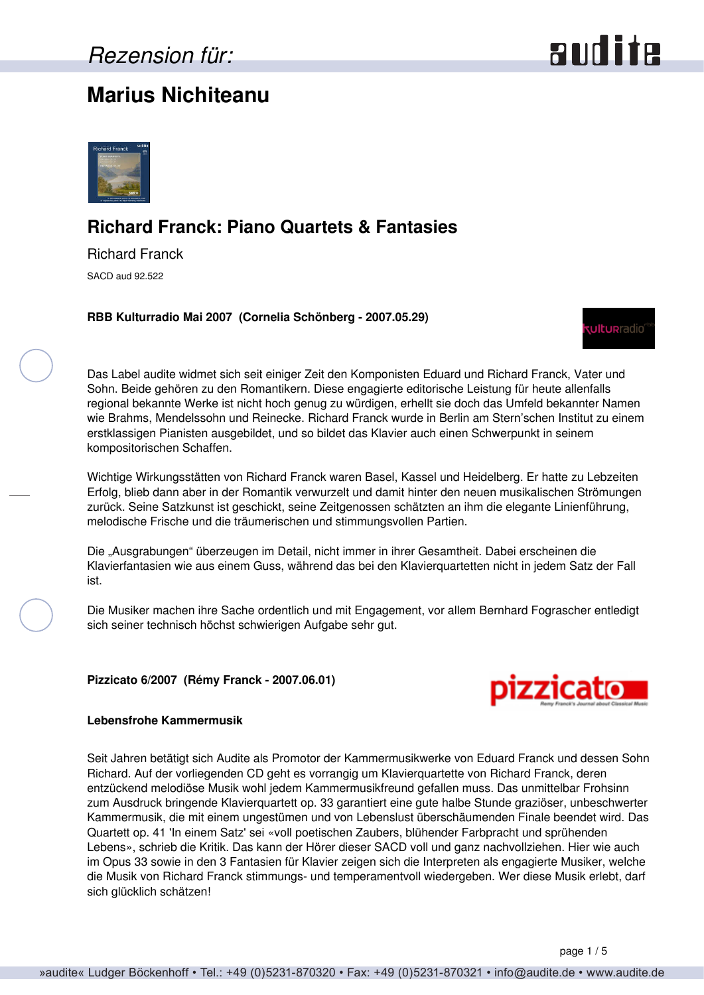## **Marius Nichiteanu**





## **Richard Franck: Piano Quartets & Fantasies**

Richard Franck SACD aud 92.522

**RBB Kulturradio Mai 2007 (Cornelia Schönberg - 2007.05.29)**



Das Label audite widmet sich seit einiger Zeit den Komponisten Eduard und Richard Franck, Vater und Sohn. Beide gehören zu den Romantikern. Diese engagierte editorische Leistung für heute allenfalls regional bekannte Werke ist nicht hoch genug zu würdigen, erhellt sie doch das Umfeld bekannter Namen wie Brahms, Mendelssohn und Reinecke. Richard Franck wurde in Berlin am Stern'schen Institut zu einem erstklassigen Pianisten ausgebildet, und so bildet das Klavier auch einen Schwerpunkt in seinem kompositorischen Schaffen.

Wichtige Wirkungsstätten von Richard Franck waren Basel, Kassel und Heidelberg. Er hatte zu Lebzeiten Erfolg, blieb dann aber in der Romantik verwurzelt und damit hinter den neuen musikalischen Strömungen zurück. Seine Satzkunst ist geschickt, seine Zeitgenossen schätzten an ihm die elegante Linienführung, melodische Frische und die träumerischen und stimmungsvollen Partien.

Die "Ausgrabungen" überzeugen im Detail, nicht immer in ihrer Gesamtheit. Dabei erscheinen die Klavierfantasien wie aus einem Guss, während das bei den Klavierquartetten nicht in jedem Satz der Fall ist.

Die Musiker machen ihre Sache ordentlich und mit Engagement, vor allem Bernhard Fograscher entledigt sich seiner technisch höchst schwierigen Aufgabe sehr gut.

**Pizzicato 6/2007 (Rémy Franck - 2007.06.01)**



## **Lebensfrohe Kammermusik**

Seit Jahren betätigt sich Audite als Promotor der Kammermusikwerke von Eduard Franck und dessen Sohn Richard. Auf der vorliegenden CD geht es vorrangig um Klavierquartette von Richard Franck, deren entzückend melodiöse Musik wohl jedem Kammermusikfreund gefallen muss. Das unmittelbar Frohsinn zum Ausdruck bringende Klavierquartett op. 33 garantiert eine gute halbe Stunde graziöser, unbeschwerter Kammermusik, die mit einem ungestümen und von Lebenslust überschäumenden Finale beendet wird. Das Quartett op. 41 'In einem Satz' sei «voll poetischen Zaubers, blühender Farbpracht und sprühenden Lebens», schrieb die Kritik. Das kann der Hörer dieser SACD voll und ganz nachvollziehen. Hier wie auch im Opus 33 sowie in den 3 Fantasien für Klavier zeigen sich die Interpreten als engagierte Musiker, welche die Musik von Richard Franck stimmungs- und temperamentvoll wiedergeben. Wer diese Musik erlebt, darf sich glücklich schätzen!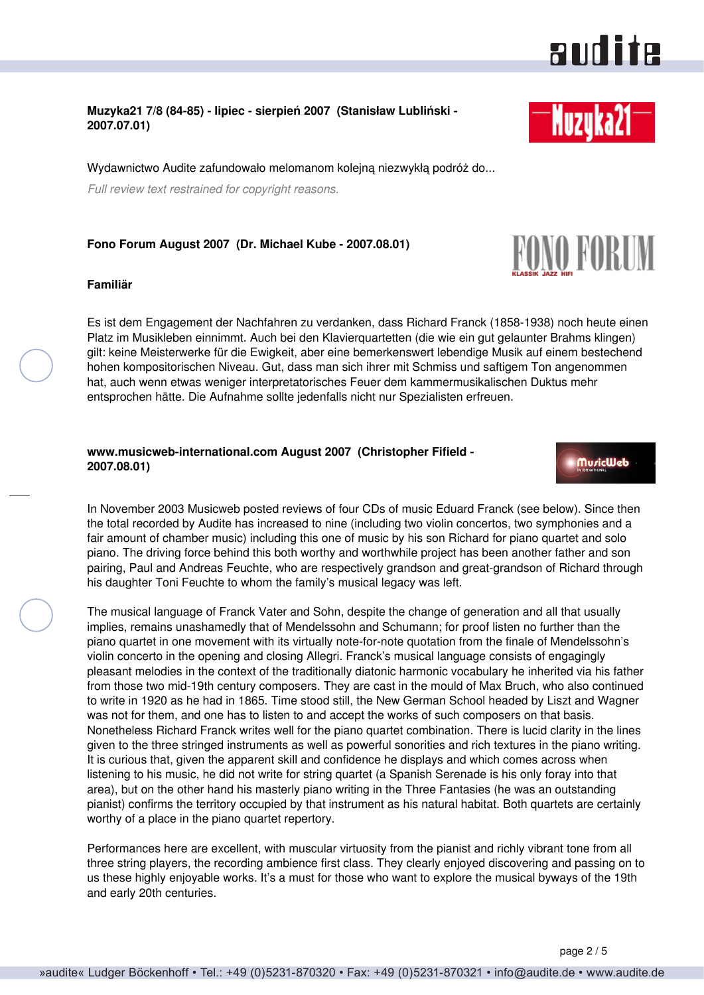# audite

## **Muzyka21 7/8 (84-85) - lipiec - sierpień 2007 (Stanisław Lubliński - 2007.07.01)**

Wydawnictwo Audite zafundowało melomanom kolejną niezwykłą podróż do...

*Full review text restrained for copyright reasons.*

## **Fono Forum August 2007 (Dr. Michael Kube - 2007.08.01)**

### **Familiär**

Es ist dem Engagement der Nachfahren zu verdanken, dass Richard Franck (1858-1938) noch heute einen Platz im Musikleben einnimmt. Auch bei den Klavierquartetten (die wie ein gut gelaunter Brahms klingen) gilt: keine Meisterwerke für die Ewigkeit, aber eine bemerkenswert lebendige Musik auf einem bestechend hohen kompositorischen Niveau. Gut, dass man sich ihrer mit Schmiss und saftigem Ton angenommen hat, auch wenn etwas weniger interpretatorisches Feuer dem kammermusikalischen Duktus mehr entsprochen hätte. Die Aufnahme sollte jedenfalls nicht nur Spezialisten erfreuen.

## **www.musicweb-international.com August 2007 (Christopher Fifield - 2007.08.01)**

In November 2003 Musicweb posted reviews of four CDs of music Eduard Franck (see below). Since then the total recorded by Audite has increased to nine (including two violin concertos, two symphonies and a fair amount of chamber music) including this one of music by his son Richard for piano quartet and solo piano. The driving force behind this both worthy and worthwhile project has been another father and son pairing, Paul and Andreas Feuchte, who are respectively grandson and great-grandson of Richard through his daughter Toni Feuchte to whom the family's musical legacy was left.

The musical language of Franck Vater and Sohn, despite the change of generation and all that usually implies, remains unashamedly that of Mendelssohn and Schumann; for proof listen no further than the piano quartet in one movement with its virtually note-for-note quotation from the finale of Mendelssohn's violin concerto in the opening and closing Allegri. Franck's musical language consists of engagingly pleasant melodies in the context of the traditionally diatonic harmonic vocabulary he inherited via his father from those two mid-19th century composers. They are cast in the mould of Max Bruch, who also continued to write in 1920 as he had in 1865. Time stood still, the New German School headed by Liszt and Wagner was not for them, and one has to listen to and accept the works of such composers on that basis. Nonetheless Richard Franck writes well for the piano quartet combination. There is lucid clarity in the lines given to the three stringed instruments as well as powerful sonorities and rich textures in the piano writing. It is curious that, given the apparent skill and confidence he displays and which comes across when listening to his music, he did not write for string quartet (a Spanish Serenade is his only foray into that area), but on the other hand his masterly piano writing in the Three Fantasies (he was an outstanding pianist) confirms the territory occupied by that instrument as his natural habitat. Both quartets are certainly worthy of a place in the piano quartet repertory.

Performances here are excellent, with muscular virtuosity from the pianist and richly vibrant tone from all three string players, the recording ambience first class. They clearly enjoyed discovering and passing on to us these highly enjoyable works. It's a must for those who want to explore the musical byways of the 19th and early 20th centuries.



**MuricWeb** 

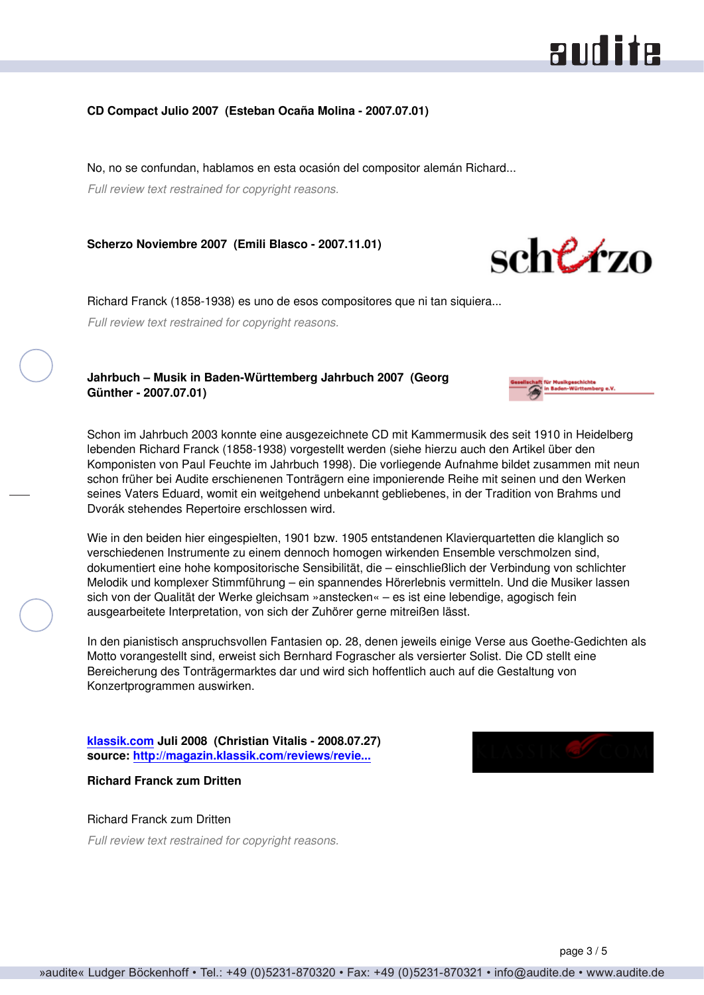# audite

## **CD Compact Julio 2007 (Esteban Ocaña Molina - 2007.07.01)**

No, no se confundan, hablamos en esta ocasión del compositor alemán Richard...

*Full review text restrained for copyright reasons.*

**Scherzo Noviembre 2007 (Emili Blasco - 2007.11.01)**



Richard Franck (1858-1938) es uno de esos compositores que ni tan siquiera...

*Full review text restrained for copyright reasons.*

## **Jahrbuch – Musik in Baden-Württemberg Jahrbuch 2007 (Georg Günther - 2007.07.01)**



Wie in den beiden hier eingespielten, 1901 bzw. 1905 entstandenen Klavierquartetten die klanglich so verschiedenen Instrumente zu einem dennoch homogen wirkenden Ensemble verschmolzen sind, dokumentiert eine hohe kompositorische Sensibilität, die – einschließlich der Verbindung von schlichter Melodik und komplexer Stimmführung – ein spannendes Hörerlebnis vermitteln. Und die Musiker lassen sich von der Qualität der Werke gleichsam »anstecken« – es ist eine lebendige, agogisch fein ausgearbeitete Interpretation, von sich der Zuhörer gerne mitreißen lässt.

In den pianistisch anspruchsvollen Fantasien op. 28, denen jeweils einige Verse aus Goethe-Gedichten als Motto vorangestellt sind, erweist sich Bernhard Fograscher als versierter Solist. Die CD stellt eine Bereicherung des Tonträgermarktes dar und wird sich hoffentlich auch auf die Gestaltung von Konzertprogrammen auswirken.

**[klassik.com](http://www.klassik.com) Juli 2008 (Christian Vitalis - 2008.07.27) source: [http://magazin.klassik.com/reviews/revie...](http://magazin.klassik.com/reviews/reviews.cfm?TASK=REVIEW&RECID=10429&REID=8560)**

## **Richard Franck zum Dritten**

## Richard Franck zum Dritten

*Full review text restrained for copyright reasons.*

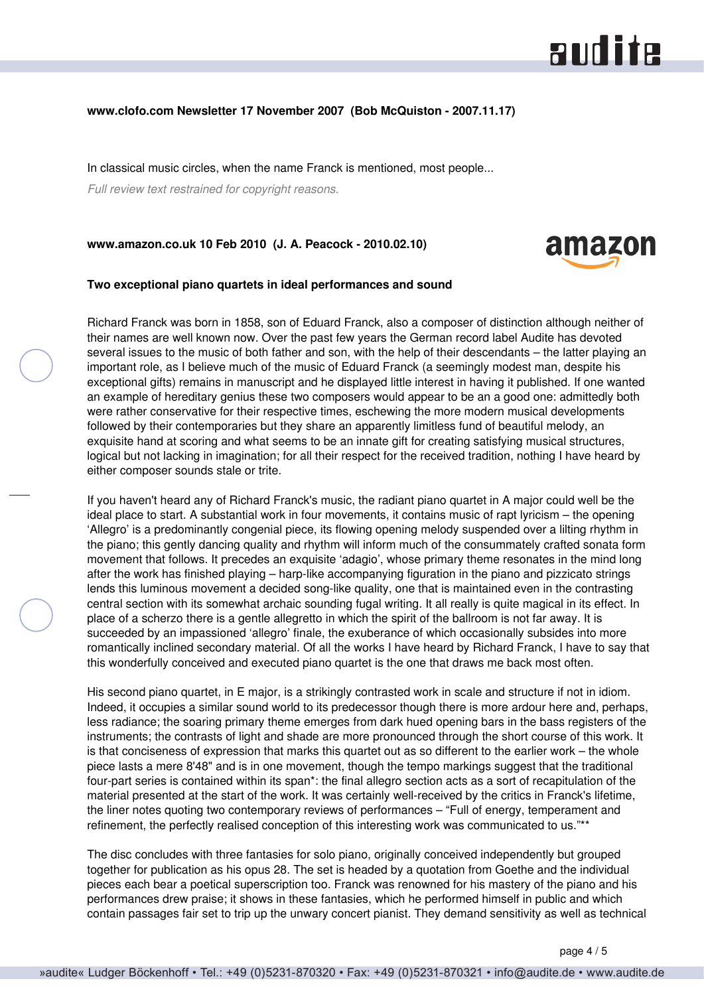## **www.clofo.com Newsletter 17 November 2007 (Bob McQuiston - 2007.11.17)**

In classical music circles, when the name Franck is mentioned, most people...

*Full review text restrained for copyright reasons.*

**www.amazon.co.uk 10 Feb 2010 (J. A. Peacock - 2010.02.10)**



### **Two exceptional piano quartets in ideal performances and sound**

Richard Franck was born in 1858, son of Eduard Franck, also a composer of distinction although neither of their names are well known now. Over the past few years the German record label Audite has devoted several issues to the music of both father and son, with the help of their descendants – the latter playing an important role, as I believe much of the music of Eduard Franck (a seemingly modest man, despite his exceptional gifts) remains in manuscript and he displayed little interest in having it published. If one wanted an example of hereditary genius these two composers would appear to be an a good one: admittedly both were rather conservative for their respective times, eschewing the more modern musical developments followed by their contemporaries but they share an apparently limitless fund of beautiful melody, an exquisite hand at scoring and what seems to be an innate gift for creating satisfying musical structures, logical but not lacking in imagination; for all their respect for the received tradition, nothing I have heard by either composer sounds stale or trite.

If you haven't heard any of Richard Franck's music, the radiant piano quartet in A major could well be the ideal place to start. A substantial work in four movements, it contains music of rapt lyricism – the opening 'Allegro' is a predominantly congenial piece, its flowing opening melody suspended over a lilting rhythm in the piano; this gently dancing quality and rhythm will inform much of the consummately crafted sonata form movement that follows. It precedes an exquisite 'adagio', whose primary theme resonates in the mind long after the work has finished playing – harp-like accompanying figuration in the piano and pizzicato strings lends this luminous movement a decided song-like quality, one that is maintained even in the contrasting central section with its somewhat archaic sounding fugal writing. It all really is quite magical in its effect. In place of a scherzo there is a gentle allegretto in which the spirit of the ballroom is not far away. It is succeeded by an impassioned 'allegro' finale, the exuberance of which occasionally subsides into more romantically inclined secondary material. Of all the works I have heard by Richard Franck, I have to say that this wonderfully conceived and executed piano quartet is the one that draws me back most often.

His second piano quartet, in E major, is a strikingly contrasted work in scale and structure if not in idiom. Indeed, it occupies a similar sound world to its predecessor though there is more ardour here and, perhaps, less radiance; the soaring primary theme emerges from dark hued opening bars in the bass registers of the instruments; the contrasts of light and shade are more pronounced through the short course of this work. It is that conciseness of expression that marks this quartet out as so different to the earlier work – the whole piece lasts a mere 8'48" and is in one movement, though the tempo markings suggest that the traditional four-part series is contained within its span\*: the final allegro section acts as a sort of recapitulation of the material presented at the start of the work. It was certainly well-received by the critics in Franck's lifetime, the liner notes quoting two contemporary reviews of performances – "Full of energy, temperament and refinement, the perfectly realised conception of this interesting work was communicated to us."\*\*

The disc concludes with three fantasies for solo piano, originally conceived independently but grouped together for publication as his opus 28. The set is headed by a quotation from Goethe and the individual pieces each bear a poetical superscription too. Franck was renowned for his mastery of the piano and his performances drew praise; it shows in these fantasies, which he performed himself in public and which contain passages fair set to trip up the unwary concert pianist. They demand sensitivity as well as technical